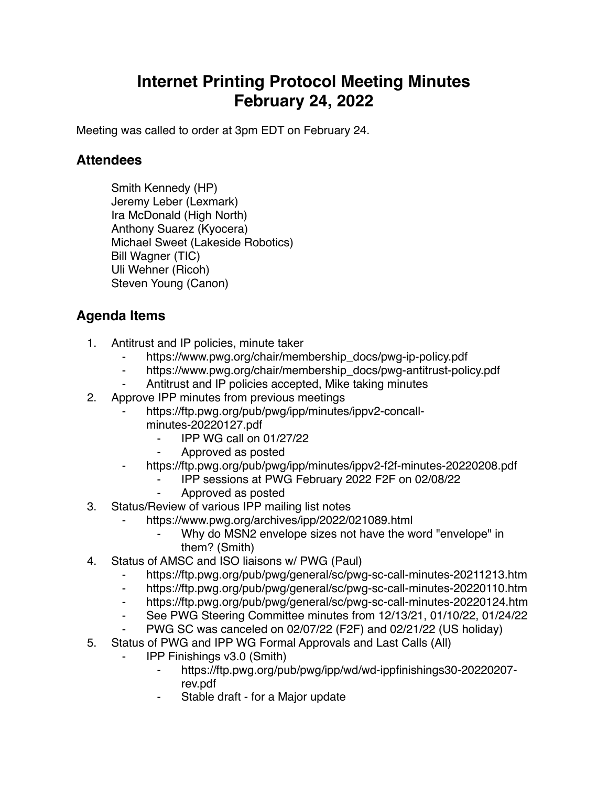## **Internet Printing Protocol Meeting Minutes February 24, 2022**

Meeting was called to order at 3pm EDT on February 24.

## **Attendees**

Smith Kennedy (HP) Jeremy Leber (Lexmark) Ira McDonald (High North) Anthony Suarez (Kyocera) Michael Sweet (Lakeside Robotics) Bill Wagner (TIC) Uli Wehner (Ricoh) Steven Young (Canon)

## **Agenda Items**

- 1. Antitrust and IP policies, minute taker
	- https://www.pwg.org/chair/membership\_docs/pwg-ip-policy.pdf
	- https://www.pwg.org/chair/membership\_docs/pwg-antitrust-policy.pdf
	- Antitrust and IP policies accepted, Mike taking minutes
- 2. Approve IPP minutes from previous meetings
	- https://ftp.pwg.org/pub/pwg/ipp/minutes/ippv2-concall
		- minutes-20220127.pdf
			- ⁃ IPP WG call on 01/27/22
			- ⁃ Approved as posted
	- ⁃ https://ftp.pwg.org/pub/pwg/ipp/minutes/ippv2-f2f-minutes-20220208.pdf
		- ⁃ IPP sessions at PWG February 2022 F2F on 02/08/22
		- ⁃ Approved as posted
- 3. Status/Review of various IPP mailing list notes
	- https://www.pwg.org/archives/ipp/2022/021089.html
		- Why do MSN2 envelope sizes not have the word "envelope" in them? (Smith)
- 4. Status of AMSC and ISO liaisons w/ PWG (Paul)
	- ⁃ https://ftp.pwg.org/pub/pwg/general/sc/pwg-sc-call-minutes-20211213.htm
	- ⁃ https://ftp.pwg.org/pub/pwg/general/sc/pwg-sc-call-minutes-20220110.htm
	- ⁃ https://ftp.pwg.org/pub/pwg/general/sc/pwg-sc-call-minutes-20220124.htm
	- ⁃ See PWG Steering Committee minutes from 12/13/21, 01/10/22, 01/24/22
	- PWG SC was canceled on 02/07/22 (F2F) and 02/21/22 (US holiday)
- 5. Status of PWG and IPP WG Formal Approvals and Last Calls (All)
	- ⁃ IPP Finishings v3.0 (Smith)
		- ⁃ https://ftp.pwg.org/pub/pwg/ipp/wd/wd-ippfinishings30-20220207 rev.pdf
		- Stable draft for a Major update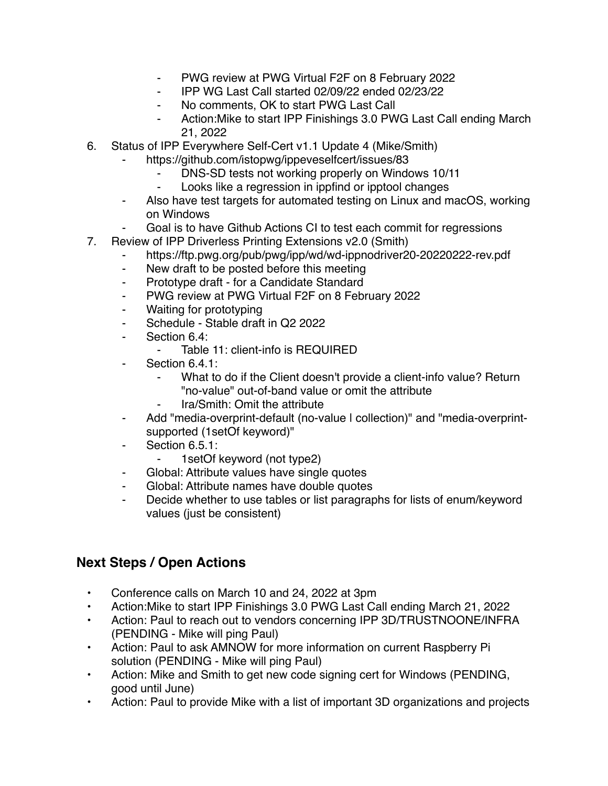- ⁃ PWG review at PWG Virtual F2F on 8 February 2022
- ⁃ IPP WG Last Call started 02/09/22 ended 02/23/22
- No comments, OK to start PWG Last Call
- Action: Mike to start IPP Finishings 3.0 PWG Last Call ending March 21, 2022
- 6. Status of IPP Everywhere Self-Cert v1.1 Update 4 (Mike/Smith)
	- https://github.com/istopwg/ippeveselfcert/issues/83
		- DNS-SD tests not working properly on Windows 10/11
		- Looks like a regression in ippfind or ipptool changes
	- Also have test targets for automated testing on Linux and macOS, working on Windows
	- Goal is to have Github Actions CI to test each commit for regressions
- 7. Review of IPP Driverless Printing Extensions v2.0 (Smith)
	- https://ftp.pwg.org/pub/pwg/ipp/wd/wd-ippnodriver20-20220222-rev.pdf
	- ⁃ New draft to be posted before this meeting
	- ⁃ Prototype draft for a Candidate Standard
	- ⁃ PWG review at PWG Virtual F2F on 8 February 2022
	- Waiting for prototyping
	- Schedule Stable draft in Q2 2022
	- ⁃ Section 6.4:
		- Table 11: client-info is REQUIRED
	- ⁃ Section 6.4.1:
		- What to do if the Client doesn't provide a client-info value? Return "no-value" out-of-band value or omit the attribute
		- ⁃ Ira/Smith: Omit the attribute
	- ⁃ Add "media-overprint-default (no-value | collection)" and "media-overprintsupported (1setOf keyword)"
	- Section 6.5.1:
		- ⁃ 1setOf keyword (not type2)
	- Global: Attribute values have single quotes
	- ⁃ Global: Attribute names have double quotes
	- Decide whether to use tables or list paragraphs for lists of enum/keyword values (just be consistent)

## **Next Steps / Open Actions**

- Conference calls on March 10 and 24, 2022 at 3pm
- Action:Mike to start IPP Finishings 3.0 PWG Last Call ending March 21, 2022
- Action: Paul to reach out to vendors concerning IPP 3D/TRUSTNOONE/INFRA (PENDING - Mike will ping Paul)
- Action: Paul to ask AMNOW for more information on current Raspberry Pi solution (PENDING - Mike will ping Paul)
- Action: Mike and Smith to get new code signing cert for Windows (PENDING, good until June)
- Action: Paul to provide Mike with a list of important 3D organizations and projects